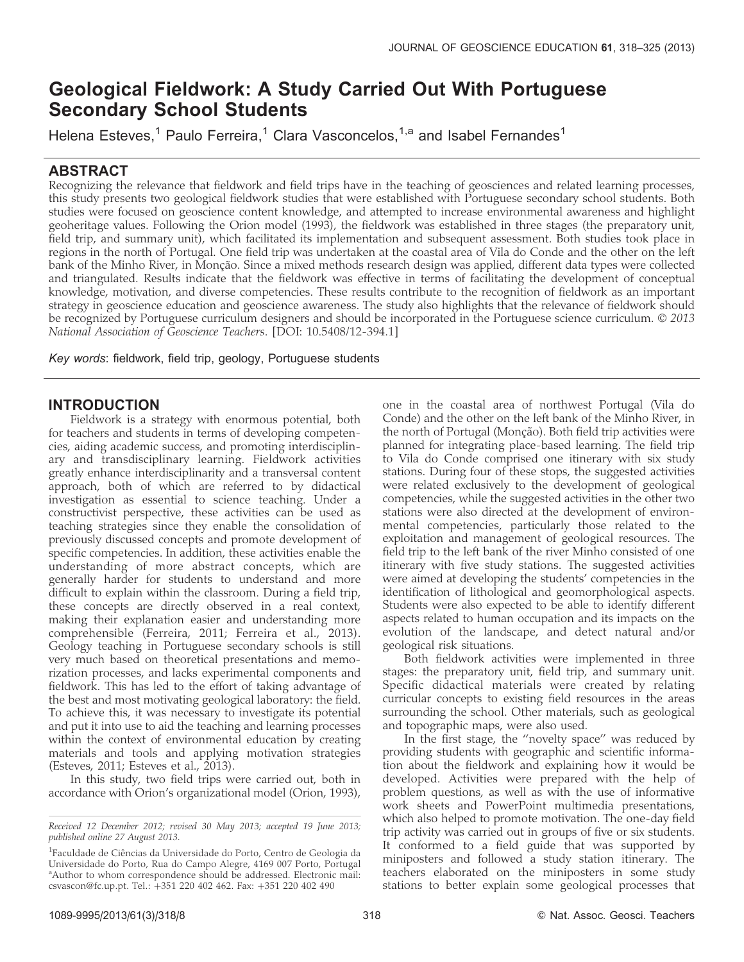# Geological Fieldwork: A Study Carried Out With Portuguese Secondary School Students

Helena Esteves,<sup>1</sup> Paulo Ferreira,<sup>1</sup> Clara Vasconcelos,<sup>1,a</sup> and Isabel Fernandes<sup>1</sup>

# ABSTRACT

Recognizing the relevance that fieldwork and field trips have in the teaching of geosciences and related learning processes, this study presents two geological fieldwork studies that were established with Portuguese secondary school students. Both studies were focused on geoscience content knowledge, and attempted to increase environmental awareness and highlight geoheritage values. Following the Orion model (1993), the fieldwork was established in three stages (the preparatory unit, field trip, and summary unit), which facilitated its implementation and subsequent assessment. Both studies took place in regions in the north of Portugal. One field trip was undertaken at the coastal area of Vila do Conde and the other on the left bank of the Minho River, in Monção. Since a mixed methods research design was applied, different data types were collected and triangulated. Results indicate that the fieldwork was effective in terms of facilitating the development of conceptual knowledge, motivation, and diverse competencies. These results contribute to the recognition of fieldwork as an important strategy in geoscience education and geoscience awareness. The study also highlights that the relevance of fieldwork should be recognized by Portuguese curriculum designers and should be incorporated in the Portuguese science curriculum. © 2013 National Association of Geoscience Teachers. [DOI: 10.5408/12-394.1]

Key words: fieldwork, field trip, geology, Portuguese students

# INTRODUCTION

Fieldwork is a strategy with enormous potential, both for teachers and students in terms of developing competencies, aiding academic success, and promoting interdisciplinary and transdisciplinary learning. Fieldwork activities greatly enhance interdisciplinarity and a transversal content approach, both of which are referred to by didactical investigation as essential to science teaching. Under a constructivist perspective, these activities can be used as teaching strategies since they enable the consolidation of previously discussed concepts and promote development of specific competencies. In addition, these activities enable the understanding of more abstract concepts, which are generally harder for students to understand and more difficult to explain within the classroom. During a field trip, these concepts are directly observed in a real context, making their explanation easier and understanding more comprehensible (Ferreira, 2011; Ferreira et al., 2013). Geology teaching in Portuguese secondary schools is still very much based on theoretical presentations and memorization processes, and lacks experimental components and fieldwork. This has led to the effort of taking advantage of the best and most motivating geological laboratory: the field. To achieve this, it was necessary to investigate its potential and put it into use to aid the teaching and learning processes within the context of environmental education by creating materials and tools and applying motivation strategies (Esteves, 2011; Esteves et al., 2013).

In this study, two field trips were carried out, both in accordance with Orion's organizational model (Orion, 1993),

one in the coastal area of northwest Portugal (Vila do Conde) and the other on the left bank of the Minho River, in the north of Portugal (Monção). Both field trip activities were planned for integrating place-based learning. The field trip to Vila do Conde comprised one itinerary with six study stations. During four of these stops, the suggested activities were related exclusively to the development of geological competencies, while the suggested activities in the other two stations were also directed at the development of environmental competencies, particularly those related to the exploitation and management of geological resources. The field trip to the left bank of the river Minho consisted of one itinerary with five study stations. The suggested activities were aimed at developing the students' competencies in the identification of lithological and geomorphological aspects. Students were also expected to be able to identify different aspects related to human occupation and its impacts on the evolution of the landscape, and detect natural and/or geological risk situations.

Both fieldwork activities were implemented in three stages: the preparatory unit, field trip, and summary unit. Specific didactical materials were created by relating curricular concepts to existing field resources in the areas surrounding the school. Other materials, such as geological and topographic maps, were also used.

In the first stage, the ''novelty space'' was reduced by providing students with geographic and scientific information about the fieldwork and explaining how it would be developed. Activities were prepared with the help of problem questions, as well as with the use of informative work sheets and PowerPoint multimedia presentations, which also helped to promote motivation. The one-day field trip activity was carried out in groups of five or six students. It conformed to a field guide that was supported by miniposters and followed a study station itinerary. The teachers elaborated on the miniposters in some study stations to better explain some geological processes that

Received 12 December 2012; revised 30 May 2013; accepted 19 June 2013; published online 27 August 2013.

<sup>&</sup>lt;sup>1</sup>Faculdade de Ciências da Universidade do Porto, Centro de Geologia da Universidade do Porto, Rua do Campo Alegre, 4169 007 Porto, Portugal <sup>a</sup>Author to whom correspondence should be addressed. Electronic mail: csvascon@fc.up.pt. Tel.: +351 220 402 462. Fax: +351 220 402 490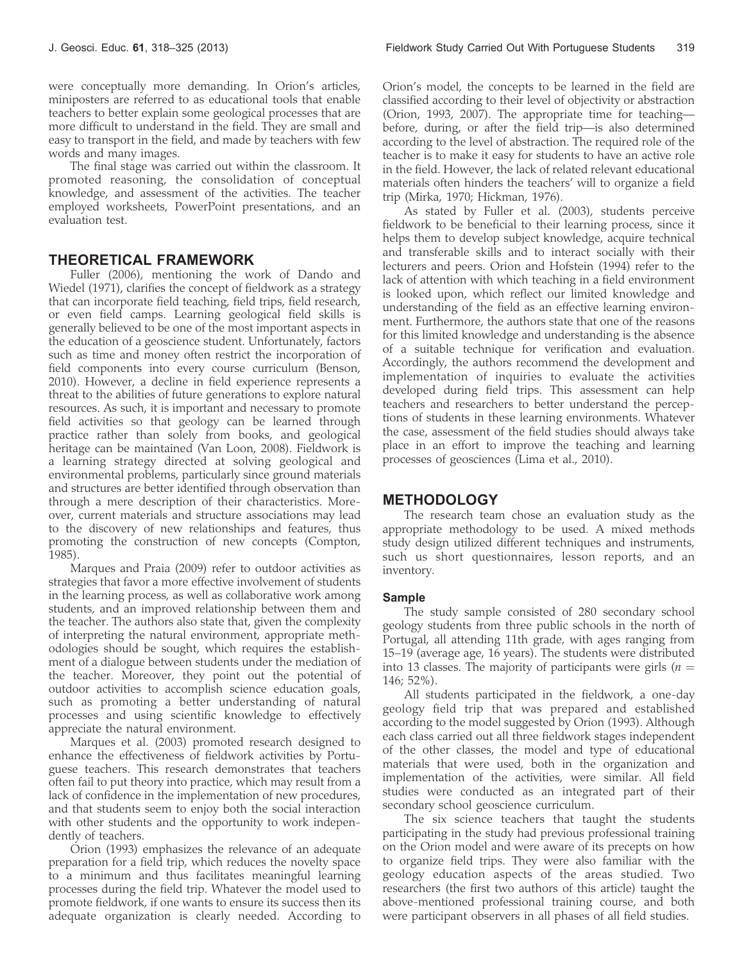were conceptually more demanding. In Orion's articles, miniposters are referred to as educational tools that enable teachers to better explain some geological processes that are more difficult to understand in the field. They are small and easy to transport in the field, and made by teachers with few words and many images.

The final stage was carried out within the classroom. It promoted reasoning, the consolidation of conceptual knowledge, and assessment of the activities. The teacher employed worksheets, PowerPoint presentations, and an evaluation test.

# THEORETICAL FRAMEWORK

Fuller (2006), mentioning the work of Dando and Wiedel (1971), clarifies the concept of fieldwork as a strategy that can incorporate field teaching, field trips, field research, or even field camps. Learning geological field skills is generally believed to be one of the most important aspects in the education of a geoscience student. Unfortunately, factors such as time and money often restrict the incorporation of field components into every course curriculum (Benson, 2010). However, a decline in field experience represents a threat to the abilities of future generations to explore natural resources. As such, it is important and necessary to promote field activities so that geology can be learned through practice rather than solely from books, and geological heritage can be maintained (Van Loon, 2008). Fieldwork is a learning strategy directed at solving geological and environmental problems, particularly since ground materials and structures are better identified through observation than through a mere description of their characteristics. Moreover, current materials and structure associations may lead to the discovery of new relationships and features, thus promoting the construction of new concepts (Compton, 1985).

Marques and Praia (2009) refer to outdoor activities as strategies that favor a more effective involvement of students in the learning process, as well as collaborative work among students, and an improved relationship between them and the teacher. The authors also state that, given the complexity of interpreting the natural environment, appropriate methodologies should be sought, which requires the establishment of a dialogue between students under the mediation of the teacher. Moreover, they point out the potential of outdoor activities to accomplish science education goals, such as promoting a better understanding of natural processes and using scientific knowledge to effectively appreciate the natural environment.

Marques et al. (2003) promoted research designed to enhance the effectiveness of fieldwork activities by Portuguese teachers. This research demonstrates that teachers often fail to put theory into practice, which may result from a lack of confidence in the implementation of new procedures, and that students seem to enjoy both the social interaction with other students and the opportunity to work independently of teachers.

Orion (1993) emphasizes the relevance of an adequate preparation for a field trip, which reduces the novelty space to a minimum and thus facilitates meaningful learning processes during the field trip. Whatever the model used to promote fieldwork, if one wants to ensure its success then its adequate organization is clearly needed. According to

Orion's model, the concepts to be learned in the field are classified according to their level of objectivity or abstraction (Orion, 1993, 2007). The appropriate time for teaching before, during, or after the field trip—is also determined according to the level of abstraction. The required role of the teacher is to make it easy for students to have an active role in the field. However, the lack of related relevant educational materials often hinders the teachers' will to organize a field trip (Mirka, 1970; Hickman, 1976).

As stated by Fuller et al. (2003), students perceive fieldwork to be beneficial to their learning process, since it helps them to develop subject knowledge, acquire technical and transferable skills and to interact socially with their lecturers and peers. Orion and Hofstein (1994) refer to the lack of attention with which teaching in a field environment is looked upon, which reflect our limited knowledge and understanding of the field as an effective learning environment. Furthermore, the authors state that one of the reasons for this limited knowledge and understanding is the absence of a suitable technique for verification and evaluation. Accordingly, the authors recommend the development and implementation of inquiries to evaluate the activities developed during field trips. This assessment can help teachers and researchers to better understand the perceptions of students in these learning environments. Whatever the case, assessment of the field studies should always take place in an effort to improve the teaching and learning processes of geosciences (Lima et al., 2010).

# METHODOLOGY

The research team chose an evaluation study as the appropriate methodology to be used. A mixed methods study design utilized different techniques and instruments, such us short questionnaires, lesson reports, and an inventory.

### Sample

The study sample consisted of 280 secondary school geology students from three public schools in the north of Portugal, all attending 11th grade, with ages ranging from 15–19 (average age, 16 years). The students were distributed into 13 classes. The majority of participants were girls ( $n =$ 146; 52%).

All students participated in the fieldwork, a one-day geology field trip that was prepared and established according to the model suggested by Orion (1993). Although each class carried out all three fieldwork stages independent of the other classes, the model and type of educational materials that were used, both in the organization and implementation of the activities, were similar. All field studies were conducted as an integrated part of their secondary school geoscience curriculum.

The six science teachers that taught the students participating in the study had previous professional training on the Orion model and were aware of its precepts on how to organize field trips. They were also familiar with the geology education aspects of the areas studied. Two researchers (the first two authors of this article) taught the above-mentioned professional training course, and both were participant observers in all phases of all field studies.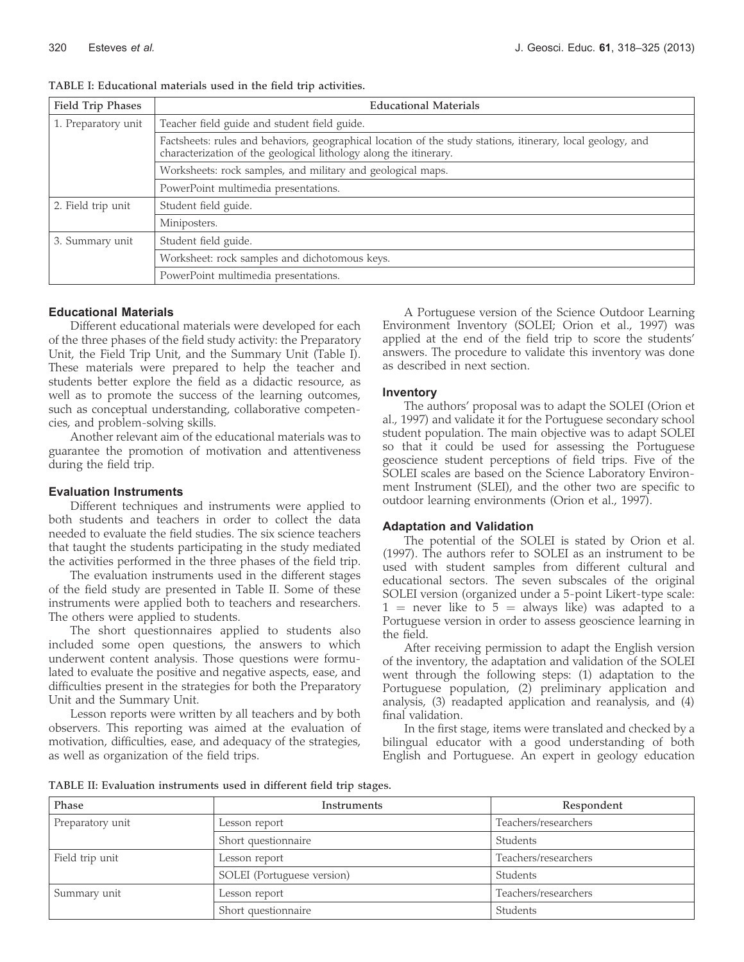| Field Trip Phases   | <b>Educational Materials</b>                                                                                                                                                     |
|---------------------|----------------------------------------------------------------------------------------------------------------------------------------------------------------------------------|
| 1. Preparatory unit | Teacher field guide and student field guide.                                                                                                                                     |
|                     | Factsheets: rules and behaviors, geographical location of the study stations, itinerary, local geology, and<br>characterization of the geological lithology along the itinerary. |
|                     | Worksheets: rock samples, and military and geological maps.                                                                                                                      |
|                     | PowerPoint multimedia presentations.                                                                                                                                             |
| 2. Field trip unit  | Student field guide.                                                                                                                                                             |
|                     | Miniposters.                                                                                                                                                                     |
| 3. Summary unit     | Student field guide.                                                                                                                                                             |
|                     | Worksheet: rock samples and dichotomous keys.                                                                                                                                    |
|                     | PowerPoint multimedia presentations.                                                                                                                                             |

TABLE I: Educational materials used in the field trip activities.

#### Educational Materials

Different educational materials were developed for each of the three phases of the field study activity: the Preparatory Unit, the Field Trip Unit, and the Summary Unit (Table I). These materials were prepared to help the teacher and students better explore the field as a didactic resource, as well as to promote the success of the learning outcomes, such as conceptual understanding, collaborative competencies, and problem-solving skills.

Another relevant aim of the educational materials was to guarantee the promotion of motivation and attentiveness during the field trip.

#### Evaluation Instruments

Different techniques and instruments were applied to both students and teachers in order to collect the data needed to evaluate the field studies. The six science teachers that taught the students participating in the study mediated the activities performed in the three phases of the field trip.

The evaluation instruments used in the different stages of the field study are presented in Table II. Some of these instruments were applied both to teachers and researchers. The others were applied to students.

The short questionnaires applied to students also included some open questions, the answers to which underwent content analysis. Those questions were formulated to evaluate the positive and negative aspects, ease, and difficulties present in the strategies for both the Preparatory Unit and the Summary Unit.

Lesson reports were written by all teachers and by both observers. This reporting was aimed at the evaluation of motivation, difficulties, ease, and adequacy of the strategies, as well as organization of the field trips.

A Portuguese version of the Science Outdoor Learning Environment Inventory (SOLEI; Orion et al., 1997) was applied at the end of the field trip to score the students' answers. The procedure to validate this inventory was done as described in next section.

#### Inventory

The authors' proposal was to adapt the SOLEI (Orion et al., 1997) and validate it for the Portuguese secondary school student population. The main objective was to adapt SOLEI so that it could be used for assessing the Portuguese geoscience student perceptions of field trips. Five of the SOLEI scales are based on the Science Laboratory Environment Instrument (SLEI), and the other two are specific to outdoor learning environments (Orion et al., 1997).

#### Adaptation and Validation

The potential of the SOLEI is stated by Orion et al. (1997). The authors refer to SOLEI as an instrument to be used with student samples from different cultural and educational sectors. The seven subscales of the original SOLEI version (organized under a 5-point Likert-type scale:  $1$  = never like to  $5$  = always like) was adapted to a Portuguese version in order to assess geoscience learning in the field.

After receiving permission to adapt the English version of the inventory, the adaptation and validation of the SOLEI went through the following steps: (1) adaptation to the Portuguese population, (2) preliminary application and analysis, (3) readapted application and reanalysis, and (4) final validation.

In the first stage, items were translated and checked by a bilingual educator with a good understanding of both English and Portuguese. An expert in geology education

| TABLE II: Evaluation instruments used in different field trip stages. |  |  |  |  |  |
|-----------------------------------------------------------------------|--|--|--|--|--|
|-----------------------------------------------------------------------|--|--|--|--|--|

| Phase            | Instruments                | Respondent           |
|------------------|----------------------------|----------------------|
| Preparatory unit | Lesson report              | Teachers/researchers |
|                  | Short questionnaire        | Students             |
| Field trip unit  | Lesson report              | Teachers/researchers |
|                  | SOLEI (Portuguese version) | Students             |
| Summary unit     | Lesson report              | Teachers/researchers |
|                  | Short questionnaire        | Students             |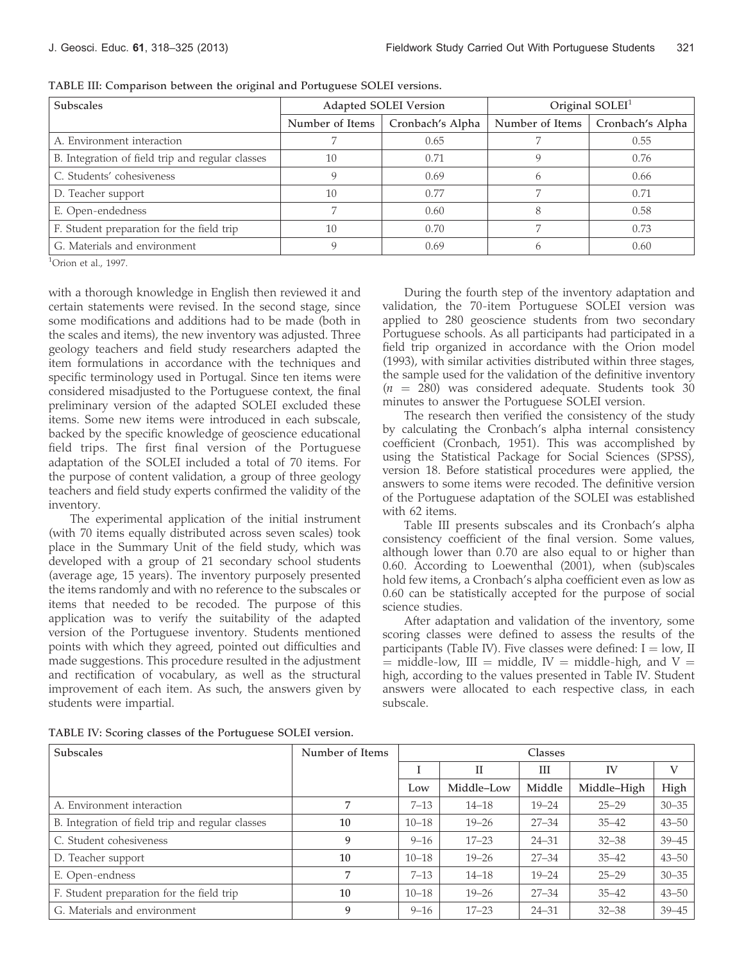| <b>Subscales</b>                                 |                 | Adapted SOLEI Version | Original $SOLEI1$ |                  |
|--------------------------------------------------|-----------------|-----------------------|-------------------|------------------|
|                                                  | Number of Items | Cronbach's Alpha      | Number of Items   | Cronbach's Alpha |
| A. Environment interaction                       |                 | 0.65                  |                   | 0.55             |
| B. Integration of field trip and regular classes | 10              | 0.71                  |                   | 0.76             |
| C. Students' cohesiveness                        |                 | 0.69                  | h                 | 0.66             |
| D. Teacher support                               | 10              | 0.77                  |                   | 0.71             |
| E. Open-endedness                                |                 | 0.60                  |                   | 0.58             |
| F. Student preparation for the field trip        | 10              | 0.70                  |                   | 0.73             |
| G. Materials and environment                     |                 | 0.69                  |                   | 0.60             |

TABLE III: Comparison between the original and Portuguese SOLEI versions.

1 Orion et al., 1997.

with a thorough knowledge in English then reviewed it and certain statements were revised. In the second stage, since some modifications and additions had to be made (both in the scales and items), the new inventory was adjusted. Three geology teachers and field study researchers adapted the item formulations in accordance with the techniques and specific terminology used in Portugal. Since ten items were considered misadjusted to the Portuguese context, the final preliminary version of the adapted SOLEI excluded these items. Some new items were introduced in each subscale, backed by the specific knowledge of geoscience educational field trips. The first final version of the Portuguese adaptation of the SOLEI included a total of 70 items. For the purpose of content validation, a group of three geology teachers and field study experts confirmed the validity of the inventory.

The experimental application of the initial instrument (with 70 items equally distributed across seven scales) took place in the Summary Unit of the field study, which was developed with a group of 21 secondary school students (average age, 15 years). The inventory purposely presented the items randomly and with no reference to the subscales or items that needed to be recoded. The purpose of this application was to verify the suitability of the adapted version of the Portuguese inventory. Students mentioned points with which they agreed, pointed out difficulties and made suggestions. This procedure resulted in the adjustment and rectification of vocabulary, as well as the structural improvement of each item. As such, the answers given by students were impartial.

During the fourth step of the inventory adaptation and validation, the 70-item Portuguese SOLEI version was applied to 280 geoscience students from two secondary Portuguese schools. As all participants had participated in a field trip organized in accordance with the Orion model (1993), with similar activities distributed within three stages, the sample used for the validation of the definitive inventory  $(n = 280)$  was considered adequate. Students took 30 minutes to answer the Portuguese SOLEI version.

The research then verified the consistency of the study by calculating the Cronbach's alpha internal consistency coefficient (Cronbach, 1951). This was accomplished by using the Statistical Package for Social Sciences (SPSS), version 18. Before statistical procedures were applied, the answers to some items were recoded. The definitive version of the Portuguese adaptation of the SOLEI was established with 62 items.

Table III presents subscales and its Cronbach's alpha consistency coefficient of the final version. Some values, although lower than 0.70 are also equal to or higher than 0.60. According to Loewenthal (2001), when (sub)scales hold few items, a Cronbach's alpha coefficient even as low as 0.60 can be statistically accepted for the purpose of social science studies.

After adaptation and validation of the inventory, some scoring classes were defined to assess the results of the participants (Table IV). Five classes were defined:  $I = low$ , II  $=$  middle-low, III  $=$  middle, IV  $=$  middle-high, and V  $=$ high, according to the values presented in Table IV. Student answers were allocated to each respective class, in each subscale.

TABLE IV: Scoring classes of the Portuguese SOLEI version.

| Subscales                                        | Number of Items | Classes   |             |           |             |           |
|--------------------------------------------------|-----------------|-----------|-------------|-----------|-------------|-----------|
|                                                  |                 |           | $_{\rm II}$ | Ш         | IV          | V         |
|                                                  |                 | Low       | Middle-Low  | Middle    | Middle-High | High      |
| A. Environment interaction                       | 7               | $7 - 13$  | $14 - 18$   | $19 - 24$ | $25 - 29$   | $30 - 35$ |
| B. Integration of field trip and regular classes | 10              | $10 - 18$ | $19 - 26$   | $27 - 34$ | $35 - 42$   | $43 - 50$ |
| C. Student cohesiveness                          | 9               | $9 - 16$  | $17 - 23$   | $24 - 31$ | $32 - 38$   | $39 - 45$ |
| D. Teacher support                               | 10              | $10 - 18$ | $19 - 26$   | $27 - 34$ | $35 - 42$   | $43 - 50$ |
| E. Open-endness                                  | 7               | $7 - 13$  | $14 - 18$   | $19 - 24$ | $25 - 29$   | $30 - 35$ |
| F. Student preparation for the field trip        | 10              | $10 - 18$ | $19 - 26$   | $27 - 34$ | $35 - 42$   | $43 - 50$ |
| G. Materials and environment                     | 9               | $9 - 16$  | $17 - 23$   | $24 - 31$ | $32 - 38$   | $39 - 45$ |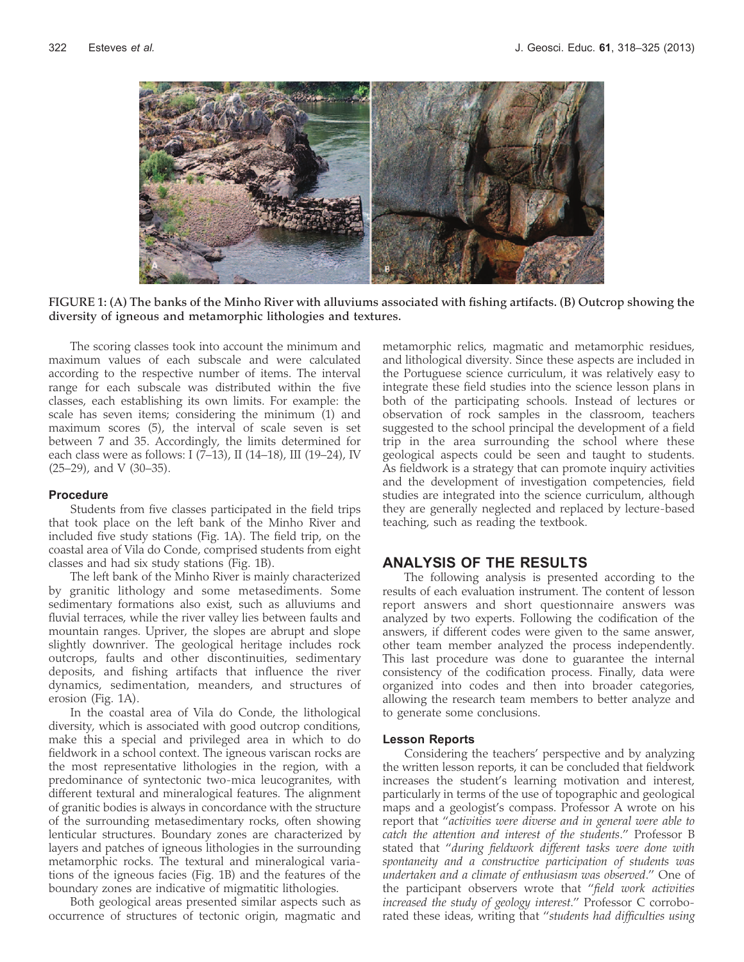

FIGURE 1: (A) The banks of the Minho River with alluviums associated with fishing artifacts. (B) Outcrop showing the diversity of igneous and metamorphic lithologies and textures.

The scoring classes took into account the minimum and maximum values of each subscale and were calculated according to the respective number of items. The interval range for each subscale was distributed within the five classes, each establishing its own limits. For example: the scale has seven items; considering the minimum (1) and maximum scores (5), the interval of scale seven is set between 7 and 35. Accordingly, the limits determined for each class were as follows: I (7–13), II (14–18), III (19–24), IV (25–29), and V (30–35).

#### Procedure

Students from five classes participated in the field trips that took place on the left bank of the Minho River and included five study stations (Fig. 1A). The field trip, on the coastal area of Vila do Conde, comprised students from eight classes and had six study stations (Fig. 1B).

The left bank of the Minho River is mainly characterized by granitic lithology and some metasediments. Some sedimentary formations also exist, such as alluviums and fluvial terraces, while the river valley lies between faults and mountain ranges. Upriver, the slopes are abrupt and slope slightly downriver. The geological heritage includes rock outcrops, faults and other discontinuities, sedimentary deposits, and fishing artifacts that influence the river dynamics, sedimentation, meanders, and structures of erosion (Fig. 1A).

In the coastal area of Vila do Conde, the lithological diversity, which is associated with good outcrop conditions, make this a special and privileged area in which to do fieldwork in a school context. The igneous variscan rocks are the most representative lithologies in the region, with a predominance of syntectonic two-mica leucogranites, with different textural and mineralogical features. The alignment of granitic bodies is always in concordance with the structure of the surrounding metasedimentary rocks, often showing lenticular structures. Boundary zones are characterized by layers and patches of igneous lithologies in the surrounding metamorphic rocks. The textural and mineralogical variations of the igneous facies (Fig. 1B) and the features of the boundary zones are indicative of migmatitic lithologies.

Both geological areas presented similar aspects such as occurrence of structures of tectonic origin, magmatic and metamorphic relics, magmatic and metamorphic residues, and lithological diversity. Since these aspects are included in the Portuguese science curriculum, it was relatively easy to integrate these field studies into the science lesson plans in both of the participating schools. Instead of lectures or observation of rock samples in the classroom, teachers suggested to the school principal the development of a field trip in the area surrounding the school where these geological aspects could be seen and taught to students. As fieldwork is a strategy that can promote inquiry activities and the development of investigation competencies, field studies are integrated into the science curriculum, although they are generally neglected and replaced by lecture-based teaching, such as reading the textbook.

### ANALYSIS OF THE RESULTS

The following analysis is presented according to the results of each evaluation instrument. The content of lesson report answers and short questionnaire answers was analyzed by two experts. Following the codification of the answers, if different codes were given to the same answer, other team member analyzed the process independently. This last procedure was done to guarantee the internal consistency of the codification process. Finally, data were organized into codes and then into broader categories, allowing the research team members to better analyze and to generate some conclusions.

#### Lesson Reports

Considering the teachers' perspective and by analyzing the written lesson reports, it can be concluded that fieldwork increases the student's learning motivation and interest, particularly in terms of the use of topographic and geological maps and a geologist's compass. Professor A wrote on his report that ''activities were diverse and in general were able to catch the attention and interest of the students.'' Professor B stated that ''during fieldwork different tasks were done with spontaneity and a constructive participation of students was undertaken and a climate of enthusiasm was observed.'' One of the participant observers wrote that ''field work activities increased the study of geology interest.'' Professor C corroborated these ideas, writing that "students had difficulties using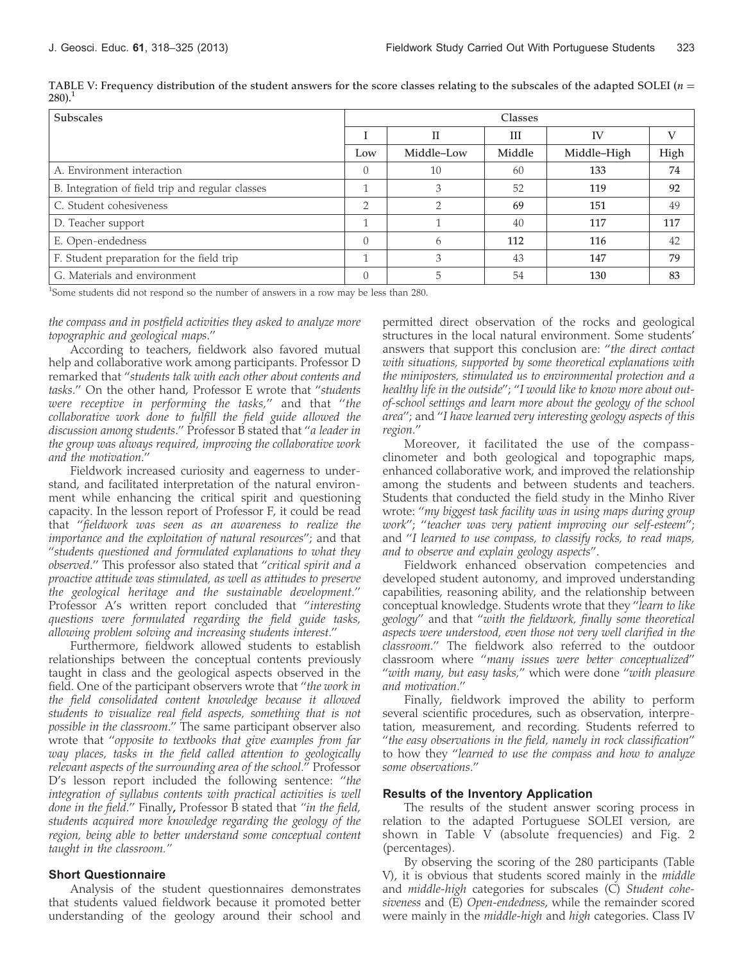| <b>Subscales</b>                                 | <b>Classes</b> |            |        |             |      |  |  |
|--------------------------------------------------|----------------|------------|--------|-------------|------|--|--|
|                                                  |                | Н          | Ш      | <b>IV</b>   |      |  |  |
|                                                  | Low            | Middle-Low | Middle | Middle-High | High |  |  |
| A. Environment interaction                       | $\Omega$       | 10         | 60     | 133         | 74   |  |  |
| B. Integration of field trip and regular classes | -1             | 3          | 52     | 119         | 92   |  |  |
| C. Student cohesiveness                          | $\overline{2}$ | ∍          | 69     | 151         | 49   |  |  |
| D. Teacher support                               | 1              |            | 40     | 117         | 117  |  |  |
| E. Open-endedness                                | $\Omega$       | h          | 112    | 116         | 42   |  |  |
| F. Student preparation for the field trip        | 1              | 3          | 43     | 147         | 79   |  |  |
| G. Materials and environment                     | $\bigcirc$     | h          | 54     | 130         | 83   |  |  |

TABLE V: Frequency distribution of the student answers for the score classes relating to the subscales of the adapted SOLEI ( $n =$  $280$ ).<sup>1</sup>

<sup>1</sup>Some students did not respond so the number of answers in a row may be less than 280.

the compass and in postfield activities they asked to analyze more topographic and geological maps.''

According to teachers, fieldwork also favored mutual help and collaborative work among participants. Professor D remarked that ''students talk with each other about contents and tasks.'' On the other hand, Professor E wrote that ''students were receptive in performing the tasks,'' and that ''the collaborative work done to fulfill the field guide allowed the discussion among students.'' Professor B stated that ''a leader in the group was always required, improving the collaborative work and the motivation.''

Fieldwork increased curiosity and eagerness to understand, and facilitated interpretation of the natural environment while enhancing the critical spirit and questioning capacity. In the lesson report of Professor F, it could be read that ''fieldwork was seen as an awareness to realize the importance and the exploitation of natural resources''; and that ''students questioned and formulated explanations to what they observed.'' This professor also stated that ''critical spirit and a proactive attitude was stimulated, as well as attitudes to preserve the geological heritage and the sustainable development.'' Professor A's written report concluded that "interesting questions were formulated regarding the field guide tasks, allowing problem solving and increasing students interest.''

Furthermore, fieldwork allowed students to establish relationships between the conceptual contents previously taught in class and the geological aspects observed in the field. One of the participant observers wrote that "the work in the field consolidated content knowledge because it allowed students to visualize real field aspects, something that is not possible in the classroom.'' The same participant observer also wrote that ''opposite to textbooks that give examples from far way places, tasks in the field called attention to geologically relevant aspects of the surrounding area of the school.'' Professor D's lesson report included the following sentence: "the integration of syllabus contents with practical activities is well done in the field." Finally, Professor B stated that "in the field, students acquired more knowledge regarding the geology of the region, being able to better understand some conceptual content taught in the classroom.''

#### Short Questionnaire

Analysis of the student questionnaires demonstrates that students valued fieldwork because it promoted better understanding of the geology around their school and

permitted direct observation of the rocks and geological structures in the local natural environment. Some students' answers that support this conclusion are: ''the direct contact with situations, supported by some theoretical explanations with the miniposters, stimulated us to environmental protection and a healthy life in the outside''; ''I would like to know more about outof-school settings and learn more about the geology of the school area''; and ''I have learned very interesting geology aspects of this region.''

Moreover, it facilitated the use of the compassclinometer and both geological and topographic maps, enhanced collaborative work, and improved the relationship among the students and between students and teachers. Students that conducted the field study in the Minho River wrote: ''my biggest task facility was in using maps during group work''; ''teacher was very patient improving our self-esteem''; and ''I learned to use compass, to classify rocks, to read maps, and to observe and explain geology aspects''.

Fieldwork enhanced observation competencies and developed student autonomy, and improved understanding capabilities, reasoning ability, and the relationship between conceptual knowledge. Students wrote that they ''learn to like geology'' and that ''with the fieldwork, finally some theoretical aspects were understood, even those not very well clarified in the classroom.'' The fieldwork also referred to the outdoor classroom where ''many issues were better conceptualized'' "with many, but easy tasks," which were done "with pleasure and motivation.''

Finally, fieldwork improved the ability to perform several scientific procedures, such as observation, interpretation, measurement, and recording. Students referred to ''the easy observations in the field, namely in rock classification'' to how they ''learned to use the compass and how to analyze some observations.''

#### Results of the Inventory Application

The results of the student answer scoring process in relation to the adapted Portuguese SOLEI version, are shown in Table V (absolute frequencies) and Fig. 2 (percentages).

By observing the scoring of the 280 participants (Table V), it is obvious that students scored mainly in the middle and middle-high categories for subscales (C) Student cohesiveness and (E) Open-endedness, while the remainder scored were mainly in the *middle-high* and *high* categories. Class IV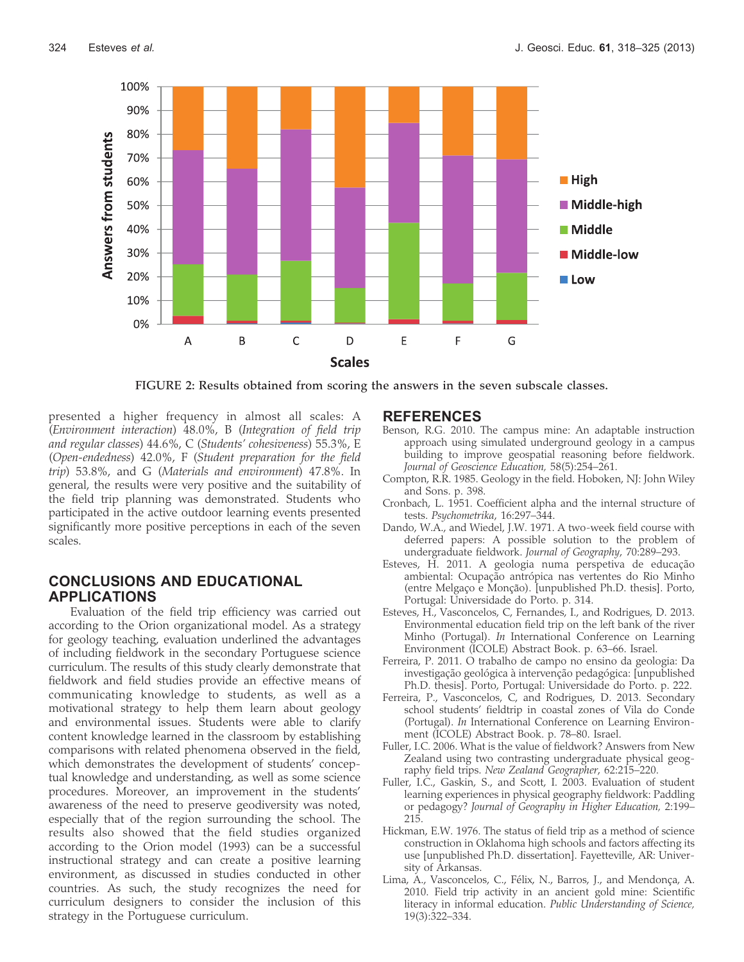

FIGURE 2: Results obtained from scoring the answers in the seven subscale classes.

presented a higher frequency in almost all scales: A (Environment interaction) 48.0%, B (Integration of field trip and regular classes) 44.6%, C (Students' cohesiveness) 55.3%, E (Open-endedness) 42.0%, F (Student preparation for the field trip) 53.8%, and G (Materials and environment) 47.8%. In general, the results were very positive and the suitability of the field trip planning was demonstrated. Students who participated in the active outdoor learning events presented significantly more positive perceptions in each of the seven scales.

# CONCLUSIONS AND EDUCATIONAL APPLICATIONS

Evaluation of the field trip efficiency was carried out according to the Orion organizational model. As a strategy for geology teaching, evaluation underlined the advantages of including fieldwork in the secondary Portuguese science curriculum. The results of this study clearly demonstrate that fieldwork and field studies provide an effective means of communicating knowledge to students, as well as a motivational strategy to help them learn about geology and environmental issues. Students were able to clarify content knowledge learned in the classroom by establishing comparisons with related phenomena observed in the field, which demonstrates the development of students' conceptual knowledge and understanding, as well as some science procedures. Moreover, an improvement in the students' awareness of the need to preserve geodiversity was noted, especially that of the region surrounding the school. The results also showed that the field studies organized according to the Orion model (1993) can be a successful instructional strategy and can create a positive learning environment, as discussed in studies conducted in other countries. As such, the study recognizes the need for curriculum designers to consider the inclusion of this strategy in the Portuguese curriculum.

### REFERENCES

- Benson, R.G. 2010. The campus mine: An adaptable instruction approach using simulated underground geology in a campus building to improve geospatial reasoning before fieldwork. Journal of Geoscience Education, 58(5):254–261.
- Compton, R.R. 1985. Geology in the field. Hoboken, NJ: John Wiley and Sons. p. 398.
- Cronbach, L. 1951. Coefficient alpha and the internal structure of tests. Psychometrika, 16:297–344.
- Dando, W.A., and Wiedel, J.W. 1971. A two-week field course with deferred papers: A possible solution to the problem of undergraduate fieldwork. Journal of Geography, 70:289–293.
- Esteves, H. 2011. A geologia numa perspetiva de educação ambiental: Ocupação antrópica nas vertentes do Rio Minho (entre Melgaço e Monção). [unpublished Ph.D. thesis]. Porto, Portugal: Universidade do Porto. p. 314.
- Esteves, H., Vasconcelos, C, Fernandes, I., and Rodrigues, D. 2013. Environmental education field trip on the left bank of the river Minho (Portugal). In International Conference on Learning Environment (ICOLE) Abstract Book. p. 63–66. Israel.
- Ferreira, P. 2011. O trabalho de campo no ensino da geologia: Da investigação geológica à intervenção pedagógica: [unpublished Ph.D. thesis]. Porto, Portugal: Universidade do Porto. p. 222.
- Ferreira, P., Vasconcelos, C, and Rodrigues, D. 2013. Secondary school students' fieldtrip in coastal zones of Vila do Conde (Portugal). In International Conference on Learning Environment (ICOLE) Abstract Book. p. 78–80. Israel.
- Fuller, I.C. 2006. What is the value of fieldwork? Answers from New Zealand using two contrasting undergraduate physical geography field trips. New Zealand Geographer, 62:215–220.
- Fuller, I.C., Gaskin, S., and Scott, I. 2003. Evaluation of student learning experiences in physical geography fieldwork: Paddling or pedagogy? Journal of Geography in Higher Education, 2:199– 215.
- Hickman, E.W. 1976. The status of field trip as a method of science construction in Oklahoma high schools and factors affecting its use [unpublished Ph.D. dissertation]. Fayetteville, AR: University of Arkansas.
- Lima, A., Vasconcelos, C., Félix, N., Barros, J., and Mendonça, A. 2010. Field trip activity in an ancient gold mine: Scientific literacy in informal education. Public Understanding of Science, 19(3):322–334.